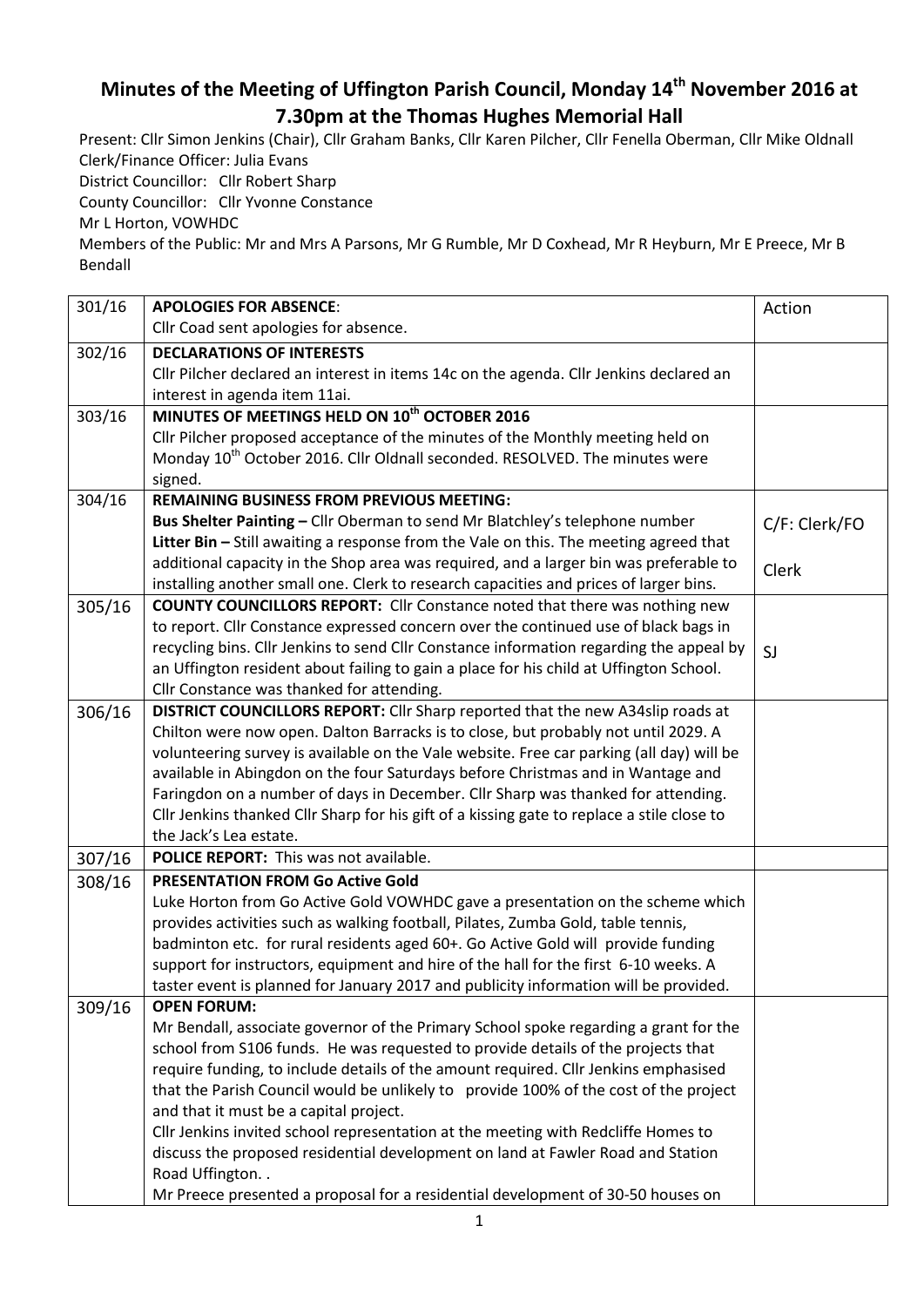## **Minutes of the Meeting of Uffington Parish Council, Monday 14th November 2016 at 7.30pm at the Thomas Hughes Memorial Hall**

Present: Cllr Simon Jenkins (Chair), Cllr Graham Banks, Cllr Karen Pilcher, Cllr Fenella Oberman, Cllr Mike Oldnall Clerk/Finance Officer: Julia Evans District Councillor: Cllr Robert Sharp

County Councillor: Cllr Yvonne Constance

Mr L Horton, VOWHDC

Members of the Public: Mr and Mrs A Parsons, Mr G Rumble, Mr D Coxhead, Mr R Heyburn, Mr E Preece, Mr B Bendall

| 301/16 | <b>APOLOGIES FOR ABSENCE:</b>                                                              | Action        |
|--------|--------------------------------------------------------------------------------------------|---------------|
|        | Cllr Coad sent apologies for absence.                                                      |               |
| 302/16 | <b>DECLARATIONS OF INTERESTS</b>                                                           |               |
|        | Cllr Pilcher declared an interest in items 14c on the agenda. Cllr Jenkins declared an     |               |
|        | interest in agenda item 11ai.                                                              |               |
| 303/16 | MINUTES OF MEETINGS HELD ON 10 <sup>th</sup> OCTOBER 2016                                  |               |
|        | Cllr Pilcher proposed acceptance of the minutes of the Monthly meeting held on             |               |
|        | Monday 10 <sup>th</sup> October 2016. Cllr Oldnall seconded. RESOLVED. The minutes were    |               |
|        | signed.                                                                                    |               |
| 304/16 | <b>REMAINING BUSINESS FROM PREVIOUS MEETING:</b>                                           |               |
|        | Bus Shelter Painting - Cllr Oberman to send Mr Blatchley's telephone number                | C/F: Clerk/FO |
|        | Litter Bin - Still awaiting a response from the Vale on this. The meeting agreed that      |               |
|        | additional capacity in the Shop area was required, and a larger bin was preferable to      | Clerk         |
|        | installing another small one. Clerk to research capacities and prices of larger bins.      |               |
| 305/16 | <b>COUNTY COUNCILLORS REPORT:</b> Cllr Constance noted that there was nothing new          |               |
|        | to report. Cllr Constance expressed concern over the continued use of black bags in        |               |
|        | recycling bins. Cllr Jenkins to send Cllr Constance information regarding the appeal by    | SJ            |
|        | an Uffington resident about failing to gain a place for his child at Uffington School.     |               |
|        | Cllr Constance was thanked for attending.                                                  |               |
| 306/16 | DISTRICT COUNCILLORS REPORT: Cllr Sharp reported that the new A34slip roads at             |               |
|        | Chilton were now open. Dalton Barracks is to close, but probably not until 2029. A         |               |
|        | volunteering survey is available on the Vale website. Free car parking (all day) will be   |               |
|        | available in Abingdon on the four Saturdays before Christmas and in Wantage and            |               |
|        | Faringdon on a number of days in December. Cllr Sharp was thanked for attending.           |               |
|        | Cllr Jenkins thanked Cllr Sharp for his gift of a kissing gate to replace a stile close to |               |
|        | the Jack's Lea estate.                                                                     |               |
| 307/16 | POLICE REPORT: This was not available.                                                     |               |
| 308/16 | <b>PRESENTATION FROM Go Active Gold</b>                                                    |               |
|        | Luke Horton from Go Active Gold VOWHDC gave a presentation on the scheme which             |               |
|        | provides activities such as walking football, Pilates, Zumba Gold, table tennis,           |               |
|        | badminton etc. for rural residents aged 60+. Go Active Gold will provide funding           |               |
|        | support for instructors, equipment and hire of the hall for the first 6-10 weeks. A        |               |
|        | taster event is planned for January 2017 and publicity information will be provided.       |               |
| 309/16 | <b>OPEN FORUM:</b>                                                                         |               |
|        | Mr Bendall, associate governor of the Primary School spoke regarding a grant for the       |               |
|        | school from S106 funds. He was requested to provide details of the projects that           |               |
|        | require funding, to include details of the amount required. Cllr Jenkins emphasised        |               |
|        | that the Parish Council would be unlikely to provide 100% of the cost of the project       |               |
|        | and that it must be a capital project.                                                     |               |
|        | Cllr Jenkins invited school representation at the meeting with Redcliffe Homes to          |               |
|        | discuss the proposed residential development on land at Fawler Road and Station            |               |
|        | Road Uffington                                                                             |               |
|        | Mr Preece presented a proposal for a residential development of 30-50 houses on            |               |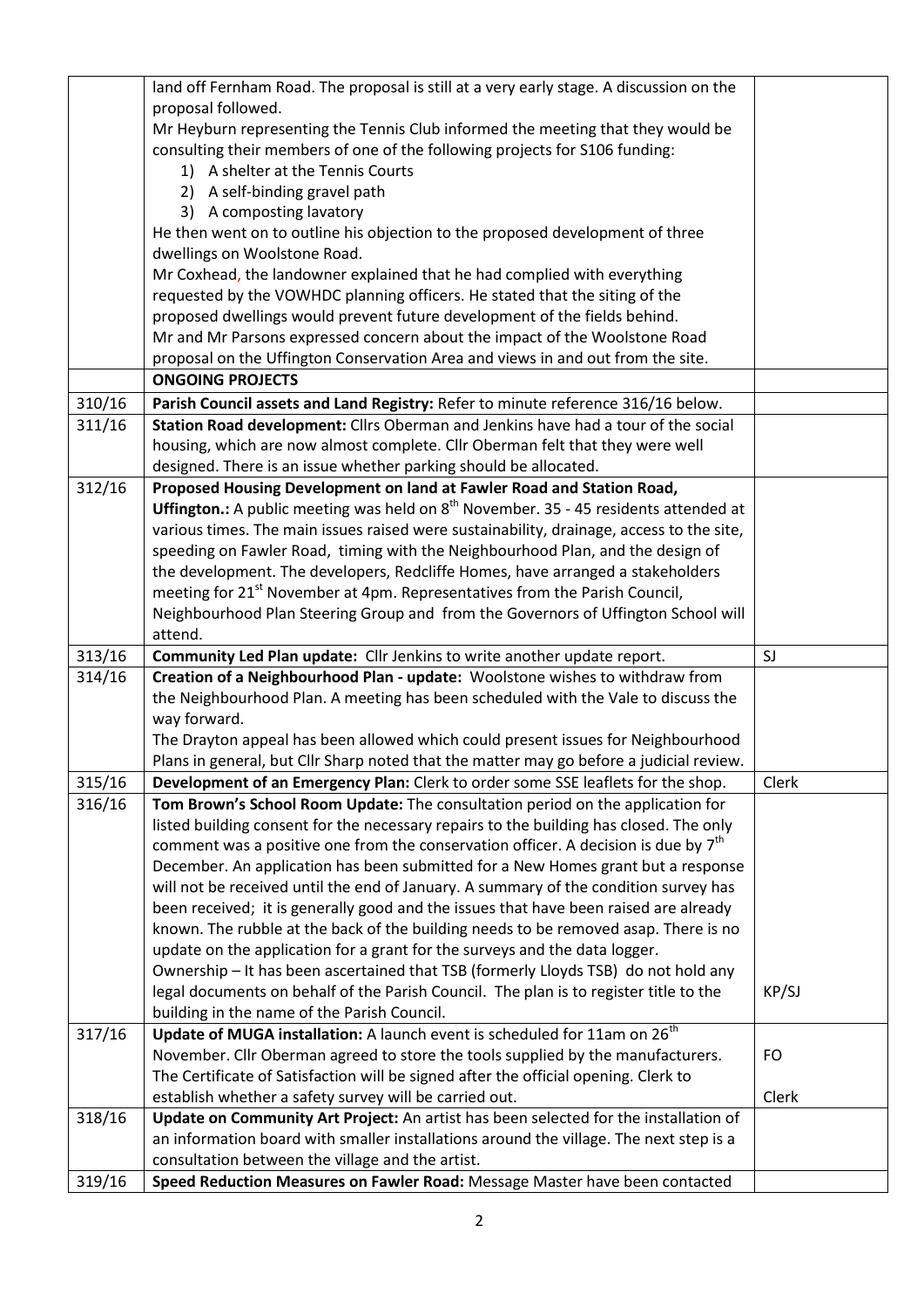|        | land off Fernham Road. The proposal is still at a very early stage. A discussion on the       |           |
|--------|-----------------------------------------------------------------------------------------------|-----------|
|        | proposal followed.                                                                            |           |
|        | Mr Heyburn representing the Tennis Club informed the meeting that they would be               |           |
|        | consulting their members of one of the following projects for S106 funding:                   |           |
|        | 1) A shelter at the Tennis Courts                                                             |           |
|        | 2) A self-binding gravel path                                                                 |           |
|        | 3) A composting lavatory                                                                      |           |
|        | He then went on to outline his objection to the proposed development of three                 |           |
|        | dwellings on Woolstone Road.                                                                  |           |
|        | Mr Coxhead, the landowner explained that he had complied with everything                      |           |
|        | requested by the VOWHDC planning officers. He stated that the siting of the                   |           |
|        | proposed dwellings would prevent future development of the fields behind.                     |           |
|        | Mr and Mr Parsons expressed concern about the impact of the Woolstone Road                    |           |
|        | proposal on the Uffington Conservation Area and views in and out from the site.               |           |
|        | <b>ONGOING PROJECTS</b>                                                                       |           |
| 310/16 | Parish Council assets and Land Registry: Refer to minute reference 316/16 below.              |           |
| 311/16 | Station Road development: Cllrs Oberman and Jenkins have had a tour of the social             |           |
|        | housing, which are now almost complete. Cllr Oberman felt that they were well                 |           |
|        | designed. There is an issue whether parking should be allocated.                              |           |
| 312/16 | Proposed Housing Development on land at Fawler Road and Station Road,                         |           |
|        | <b>Uffington.:</b> A public meeting was held on $8th$ November. 35 - 45 residents attended at |           |
|        | various times. The main issues raised were sustainability, drainage, access to the site,      |           |
|        | speeding on Fawler Road, timing with the Neighbourhood Plan, and the design of                |           |
|        | the development. The developers, Redcliffe Homes, have arranged a stakeholders                |           |
|        | meeting for 21 <sup>st</sup> November at 4pm. Representatives from the Parish Council,        |           |
|        | Neighbourhood Plan Steering Group and from the Governors of Uffington School will             |           |
|        | attend.                                                                                       |           |
| 313/16 | Community Led Plan update: Cllr Jenkins to write another update report.                       | SJ        |
| 314/16 | Creation of a Neighbourhood Plan - update: Woolstone wishes to withdraw from                  |           |
|        | the Neighbourhood Plan. A meeting has been scheduled with the Vale to discuss the             |           |
|        | way forward.                                                                                  |           |
|        | The Drayton appeal has been allowed which could present issues for Neighbourhood              |           |
|        | Plans in general, but Cllr Sharp noted that the matter may go before a judicial review.       |           |
| 315/16 | Development of an Emergency Plan: Clerk to order some SSE leaflets for the shop.              | Clerk     |
| 316/16 | Tom Brown's School Room Update: The consultation period on the application for                |           |
|        | listed building consent for the necessary repairs to the building has closed. The only        |           |
|        | comment was a positive one from the conservation officer. A decision is due by $7th$          |           |
|        | December. An application has been submitted for a New Homes grant but a response              |           |
|        | will not be received until the end of January. A summary of the condition survey has          |           |
|        | been received; it is generally good and the issues that have been raised are already          |           |
|        | known. The rubble at the back of the building needs to be removed asap. There is no           |           |
|        | update on the application for a grant for the surveys and the data logger.                    |           |
|        | Ownership - It has been ascertained that TSB (formerly Lloyds TSB) do not hold any            |           |
|        | legal documents on behalf of the Parish Council. The plan is to register title to the         | KP/SJ     |
|        | building in the name of the Parish Council.                                                   |           |
| 317/16 | Update of MUGA installation: A launch event is scheduled for 11am on 26 <sup>th</sup>         |           |
|        | November. Cllr Oberman agreed to store the tools supplied by the manufacturers.               | <b>FO</b> |
|        | The Certificate of Satisfaction will be signed after the official opening. Clerk to           |           |
|        | establish whether a safety survey will be carried out.                                        | Clerk     |
| 318/16 | Update on Community Art Project: An artist has been selected for the installation of          |           |
|        | an information board with smaller installations around the village. The next step is a        |           |
|        | consultation between the village and the artist.                                              |           |
| 319/16 | Speed Reduction Measures on Fawler Road: Message Master have been contacted                   |           |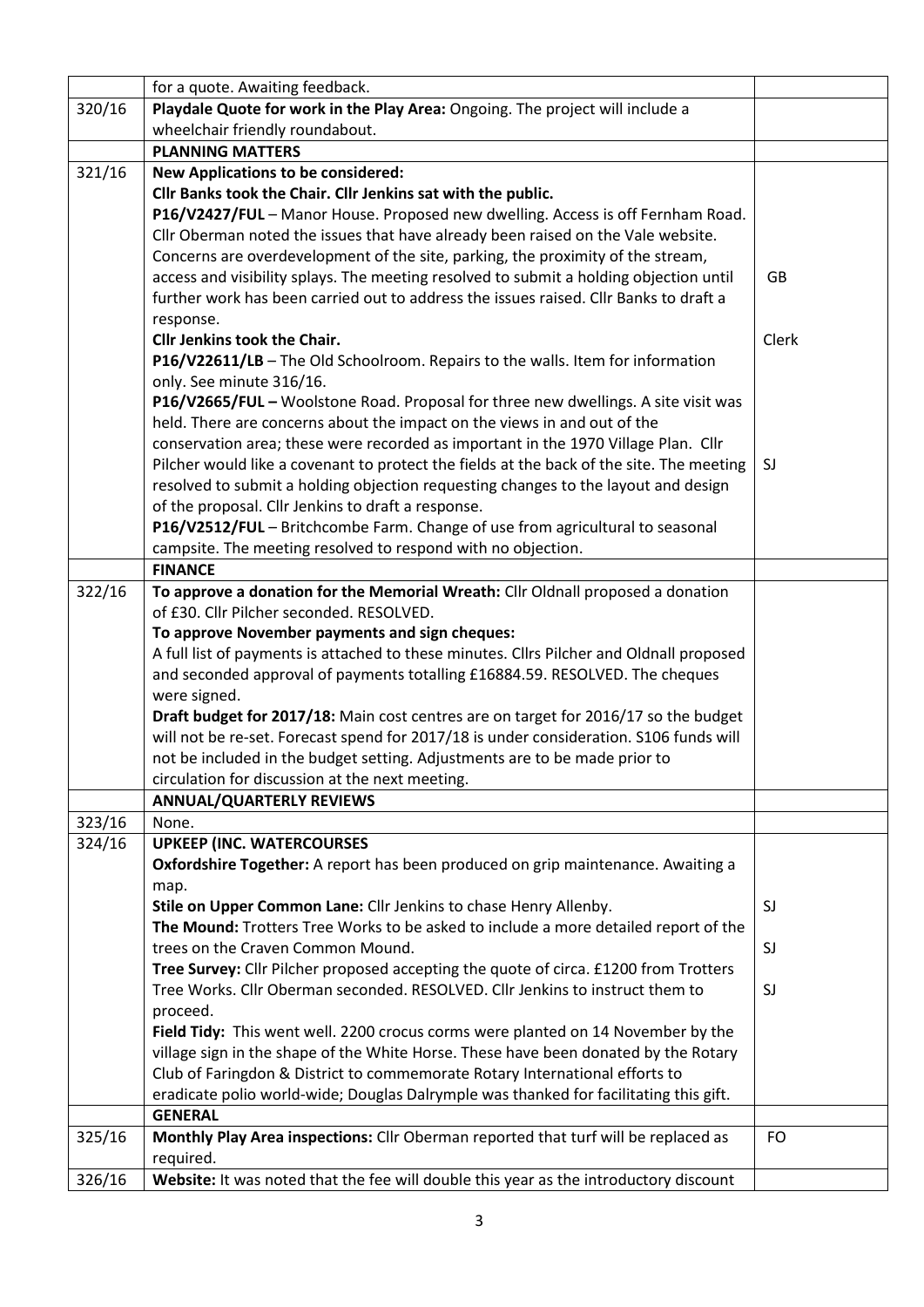|        | for a quote. Awaiting feedback.                                                          |           |
|--------|------------------------------------------------------------------------------------------|-----------|
| 320/16 | Playdale Quote for work in the Play Area: Ongoing. The project will include a            |           |
|        | wheelchair friendly roundabout.                                                          |           |
|        | <b>PLANNING MATTERS</b>                                                                  |           |
| 321/16 | <b>New Applications to be considered:</b>                                                |           |
|        | Cllr Banks took the Chair. Cllr Jenkins sat with the public.                             |           |
|        | P16/V2427/FUL - Manor House. Proposed new dwelling. Access is off Fernham Road.          |           |
|        | Cllr Oberman noted the issues that have already been raised on the Vale website.         |           |
|        | Concerns are overdevelopment of the site, parking, the proximity of the stream,          |           |
|        | access and visibility splays. The meeting resolved to submit a holding objection until   | <b>GB</b> |
|        | further work has been carried out to address the issues raised. Cllr Banks to draft a    |           |
|        | response.                                                                                |           |
|        | Cllr Jenkins took the Chair.                                                             | Clerk     |
|        | P16/V22611/LB - The Old Schoolroom. Repairs to the walls. Item for information           |           |
|        | only. See minute 316/16.                                                                 |           |
|        | P16/V2665/FUL - Woolstone Road. Proposal for three new dwellings. A site visit was       |           |
|        | held. There are concerns about the impact on the views in and out of the                 |           |
|        | conservation area; these were recorded as important in the 1970 Village Plan. Cllr       |           |
|        | Pilcher would like a covenant to protect the fields at the back of the site. The meeting | SJ        |
|        | resolved to submit a holding objection requesting changes to the layout and design       |           |
|        | of the proposal. Cllr Jenkins to draft a response.                                       |           |
|        | P16/V2512/FUL - Britchcombe Farm. Change of use from agricultural to seasonal            |           |
|        | campsite. The meeting resolved to respond with no objection.                             |           |
|        | <b>FINANCE</b>                                                                           |           |
| 322/16 | To approve a donation for the Memorial Wreath: Cllr Oldnall proposed a donation          |           |
|        | of £30. Cllr Pilcher seconded. RESOLVED.                                                 |           |
|        | To approve November payments and sign cheques:                                           |           |
|        | A full list of payments is attached to these minutes. Cllrs Pilcher and Oldnall proposed |           |
|        | and seconded approval of payments totalling £16884.59. RESOLVED. The cheques             |           |
|        | were signed.                                                                             |           |
|        | Draft budget for 2017/18: Main cost centres are on target for 2016/17 so the budget      |           |
|        | will not be re-set. Forecast spend for 2017/18 is under consideration. S106 funds will   |           |
|        | not be included in the budget setting. Adjustments are to be made prior to               |           |
|        | circulation for discussion at the next meeting.                                          |           |
|        | <b>ANNUAL/QUARTERLY REVIEWS</b>                                                          |           |
| 323/16 | None.                                                                                    |           |
| 324/16 | <b>UPKEEP (INC. WATERCOURSES</b>                                                         |           |
|        | Oxfordshire Together: A report has been produced on grip maintenance. Awaiting a         |           |
|        | map.                                                                                     |           |
|        | Stile on Upper Common Lane: Cllr Jenkins to chase Henry Allenby.                         | SJ        |
|        | The Mound: Trotters Tree Works to be asked to include a more detailed report of the      |           |
|        | trees on the Craven Common Mound.                                                        | SJ        |
|        | Tree Survey: Cllr Pilcher proposed accepting the quote of circa. £1200 from Trotters     |           |
|        | Tree Works. Cllr Oberman seconded. RESOLVED. Cllr Jenkins to instruct them to            | SJ        |
|        | proceed.                                                                                 |           |
|        | Field Tidy: This went well. 2200 crocus corms were planted on 14 November by the         |           |
|        | village sign in the shape of the White Horse. These have been donated by the Rotary      |           |
|        | Club of Faringdon & District to commemorate Rotary International efforts to              |           |
|        | eradicate polio world-wide; Douglas Dalrymple was thanked for facilitating this gift.    |           |
|        | <b>GENERAL</b>                                                                           |           |
| 325/16 | Monthly Play Area inspections: Cllr Oberman reported that turf will be replaced as       | <b>FO</b> |
|        | required.                                                                                |           |
| 326/16 | Website: It was noted that the fee will double this year as the introductory discount    |           |